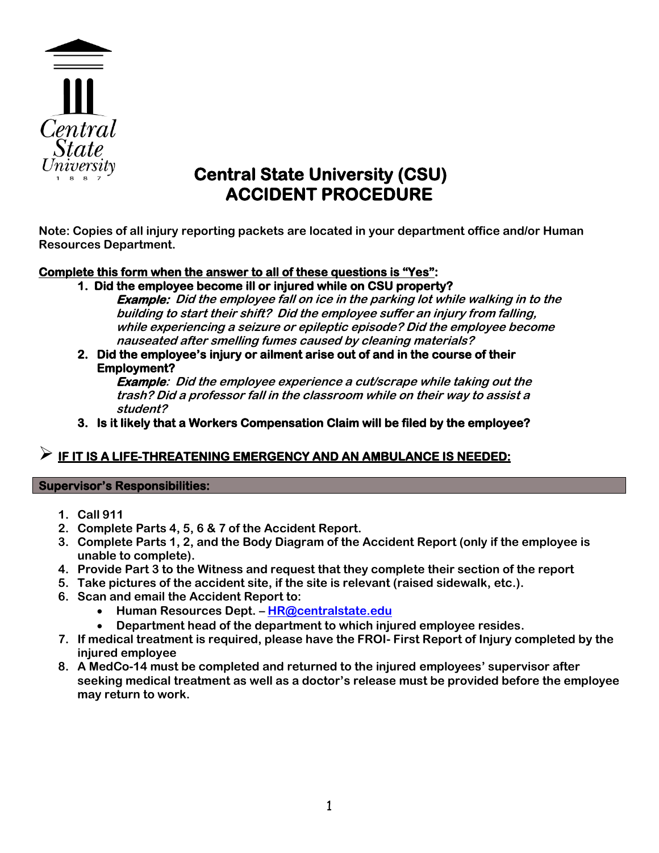

# **Central State University (CSU) ACCIDENT PROCEDURE**

**Note: Copies of all injury reporting packets are located in your department office and/or Human Resources Department.**

### **Complete this form when the answer to all of these questions is "Yes":**

**1. Did the employee become ill or injured while on CSU property?** 

**Example: Did the employee fall on ice in the parking lot while walking in to the building to start their shift? Did the employee suffer an injury from falling, while experiencing a seizure or epileptic episode? Did the employee become nauseated after smelling fumes caused by cleaning materials?** 

**2. Did the employee's injury or ailment arise out of and in the course of their Employment?** 

**Example: Did the employee experience a cut/scrape while taking out the trash? Did a professor fall in the classroom while on their way to assist a student?**

**3. Is it likely that a Workers Compensation Claim will be filed by the employee?** 

# **IF IT IS A LIFE-THREATENING EMERGENCY AND AN AMBULANCE IS NEEDED:**

### **Supervisor's Responsibilities:**

- **1. Call 911**
- **2. Complete Parts 4, 5, 6 & 7 of the Accident Report.**
- **3. Complete Parts 1, 2, and the Body Diagram of the Accident Report (only if the employee is unable to complete).**
- **4. Provide Part 3 to the Witness and request that they complete their section of the report**
- **5. Take pictures of the accident site, if the site is relevant (raised sidewalk, etc.).**
- **6. Scan and email the Accident Report to:**
	- **Human Resources Dept. – [HR@centralstate.edu](mailto:HR@centralstate.edu)**
	- **Department head of the department to which injured employee resides.**
- **7. If medical treatment is required, please have the FROI- First Report of Injury completed by the injured employee**
- **8. A MedCo-14 must be completed and returned to the injured employees' supervisor after seeking medical treatment as well as a doctor's release must be provided before the employee may return to work.**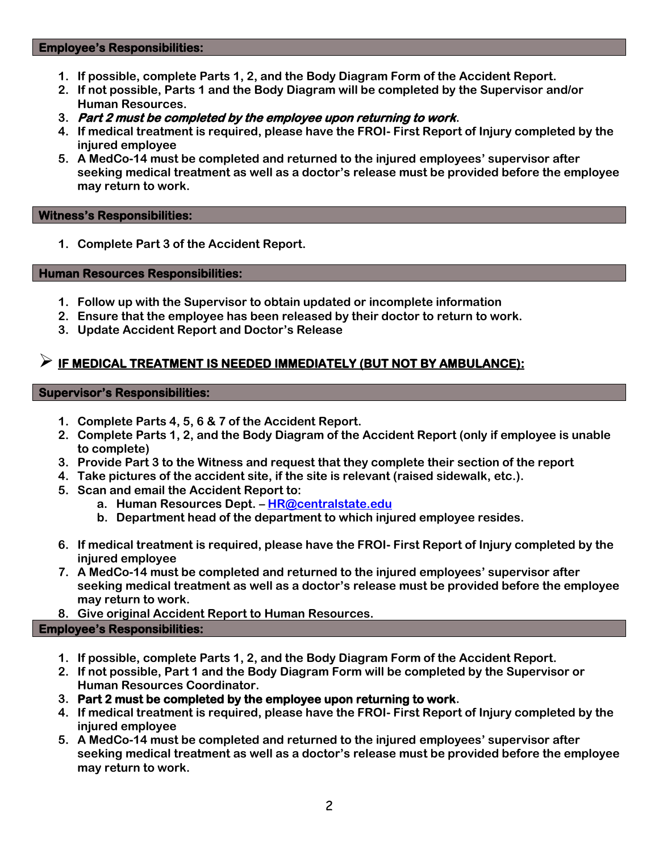#### **Employee's Responsibilities:**

- **1. If possible, complete Parts 1, 2, and the Body Diagram Form of the Accident Report.**
- **2. If not possible, Parts 1 and the Body Diagram will be completed by the Supervisor and/or Human Resources.**
- **3. Part 2 must be completed by the employee upon returning to work.**
- **4. If medical treatment is required, please have the FROI- First Report of Injury completed by the injured employee**
- **5. A MedCo-14 must be completed and returned to the injured employees' supervisor after seeking medical treatment as well as a doctor's release must be provided before the employee may return to work.**

#### **Witness's Responsibilities:**

**1. Complete Part 3 of the Accident Report.**

#### **Human Resources Responsibilities:**

- **1. Follow up with the Supervisor to obtain updated or incomplete information**
- **2. Ensure that the employee has been released by their doctor to return to work.**
- **3. Update Accident Report and Doctor's Release**

# **IF MEDICAL TREATMENT IS NEEDED IMMEDIATELY (BUT NOT BY AMBULANCE):**

#### **Supervisor's Responsibilities:**

- **1. Complete Parts 4, 5, 6 & 7 of the Accident Report.**
- **2. Complete Parts 1, 2, and the Body Diagram of the Accident Report (only if employee is unable to complete)**
- **3. Provide Part 3 to the Witness and request that they complete their section of the report**
- **4. Take pictures of the accident site, if the site is relevant (raised sidewalk, etc.).**
- **5. Scan and email the Accident Report to:**
	- **a. Human Resources Dept. – [HR@centralstate.edu](mailto:HR@centralstate.edu)**
	- **b. Department head of the department to which injured employee resides.**
- **6. If medical treatment is required, please have the FROI- First Report of Injury completed by the injured employee**
- **7. A MedCo-14 must be completed and returned to the injured employees' supervisor after seeking medical treatment as well as a doctor's release must be provided before the employee may return to work.**
- **8. Give original Accident Report to Human Resources.**

### **Employee's Responsibilities:**

- **1. If possible, complete Parts 1, 2, and the Body Diagram Form of the Accident Report.**
- **2. If not possible, Part 1 and the Body Diagram Form will be completed by the Supervisor or Human Resources Coordinator.**
- **3. Part 2 must be completed by the employee upon returning to work.**
- **4. If medical treatment is required, please have the FROI- First Report of Injury completed by the injured employee**
- **5. A MedCo-14 must be completed and returned to the injured employees' supervisor after seeking medical treatment as well as a doctor's release must be provided before the employee may return to work.**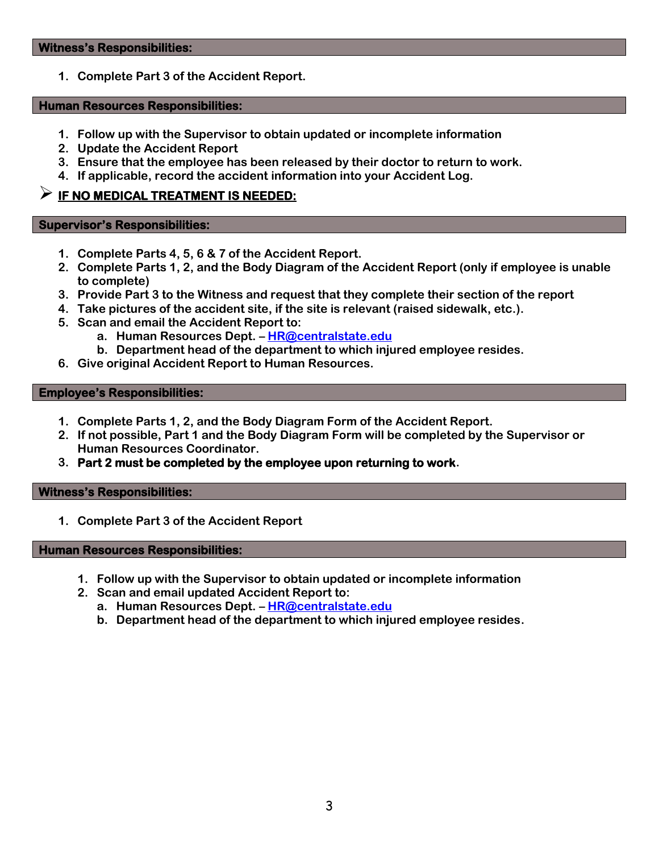**1. Complete Part 3 of the Accident Report.**

#### **Human Resources Responsibilities:**

- **1. Follow up with the Supervisor to obtain updated or incomplete information**
- **2. Update the Accident Report**
- **3. Ensure that the employee has been released by their doctor to return to work.**
- **4. If applicable, record the accident information into your Accident Log.**

## **IF NO MEDICAL TREATMENT IS NEEDED:**

#### **Supervisor's Responsibilities:**

- **1. Complete Parts 4, 5, 6 & 7 of the Accident Report.**
- **2. Complete Parts 1, 2, and the Body Diagram of the Accident Report (only if employee is unable to complete)**
- **3. Provide Part 3 to the Witness and request that they complete their section of the report**
- **4. Take pictures of the accident site, if the site is relevant (raised sidewalk, etc.).**
- **5. Scan and email the Accident Report to:**
	- **a. Human Resources Dept. – [HR@centralstate.edu](mailto:HR@centralstate.edu)**
	- **b. Department head of the department to which injured employee resides.**
- **6. Give original Accident Report to Human Resources.**

#### **Employee's Responsibilities:**

- **1. Complete Parts 1, 2, and the Body Diagram Form of the Accident Report.**
- **2. If not possible, Part 1 and the Body Diagram Form will be completed by the Supervisor or Human Resources Coordinator.**
- **3. Part 2 must be completed by the employee upon returning to work.**

### **Witness's Responsibilities:**

**1. Complete Part 3 of the Accident Report**

#### **Human Resources Responsibilities:**

- **1. Follow up with the Supervisor to obtain updated or incomplete information**
- **2. Scan and email updated Accident Report to:** 
	- **a. Human Resources Dept. – [HR@centralstate.edu](mailto:HR@centralstate.edu)**
	- **b. Department head of the department to which injured employee resides.**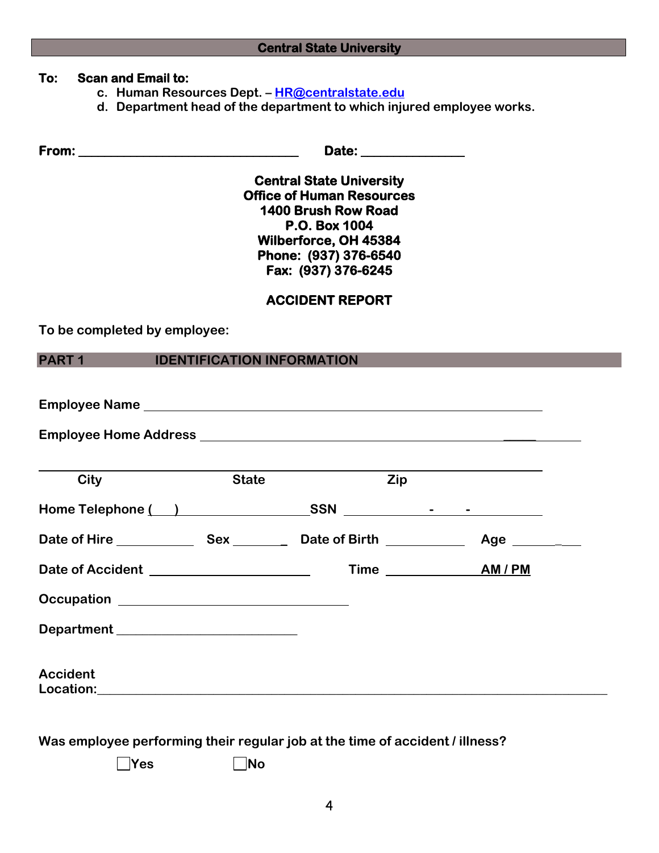## **Central State University**

### **To: Scan and Email to:**

- **c. Human Resources Dept. – [HR@centralstate.edu](mailto:HR@centralstate.edu)**
- **d. Department head of the department to which injured employee works.**

**From: \_\_\_\_\_\_\_\_\_\_\_\_\_\_\_\_\_\_\_\_\_\_\_\_\_\_\_\_\_\_\_\_\_\_ Date: \_\_\_\_\_\_\_\_\_\_\_\_\_\_\_\_** 

**Central State University Office of Human Resources 1400 Brush Row Road P.O. Box 1004 Wilberforce, OH 45384 Phone: (937) 376-6540 Fax: (937) 376-6245** 

## **ACCIDENT REPORT**

**To be completed by employee:**

**PART 1 IDENTIFICATION INFORMATION**

| City                                     | <b>State</b> | Zip               |             |
|------------------------------------------|--------------|-------------------|-------------|
|                                          |              |                   |             |
| Date of Hire Sex Bate of Birth           |              |                   | Age _______ |
| Date of Accident _______________________ |              | Time <b>AM/PM</b> |             |
|                                          |              |                   |             |
| Department __________________________    |              |                   |             |
| <b>Accident</b>                          |              |                   |             |

**Was employee performing their regular job at the time of accident / illness?**

**No**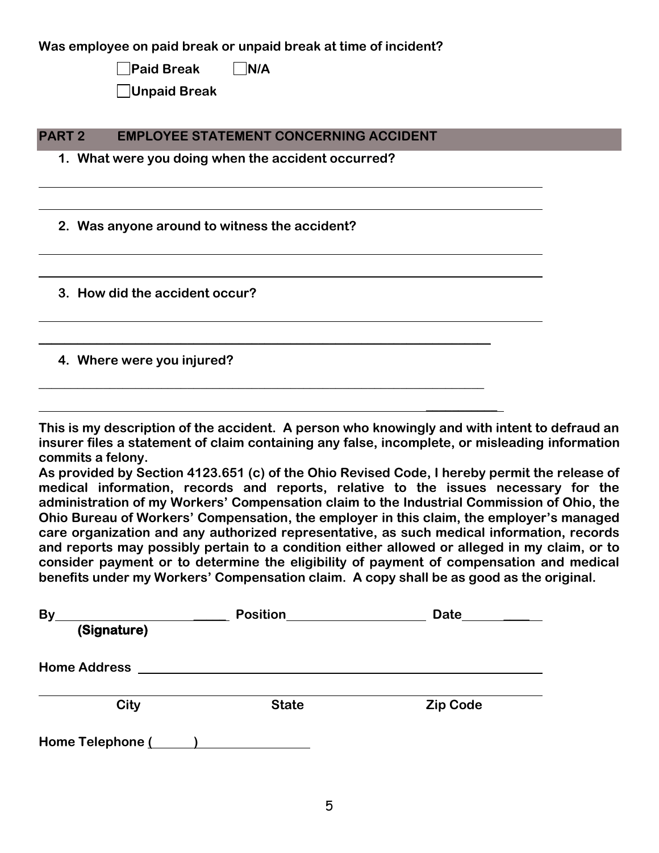| Was employee on paid break or unpaid break at time of incident? |  |
|-----------------------------------------------------------------|--|
| <b>Paid Break</b><br>N/A                                        |  |
| Unpaid Break                                                    |  |
|                                                                 |  |
| <b>PART 2</b><br><b>EMPLOYEE STATEMENT CONCERNING ACCIDENT</b>  |  |
| 1. What were you doing when the accident occurred?              |  |
|                                                                 |  |
|                                                                 |  |
| 2. Was anyone around to witness the accident?                   |  |
|                                                                 |  |
|                                                                 |  |
| 3. How did the accident occur?                                  |  |
|                                                                 |  |
|                                                                 |  |
| 4. Where were you injured?                                      |  |
|                                                                 |  |
|                                                                 |  |

**This is my description of the accident. A person who knowingly and with intent to defraud an insurer files a statement of claim containing any false, incomplete, or misleading information commits a felony.**

**\_\_\_\_\_\_\_\_\_\_\_**

**As provided by Section 4123.651 (c) of the Ohio Revised Code, I hereby permit the release of medical information, records and reports, relative to the issues necessary for the administration of my Workers' Compensation claim to the Industrial Commission of Ohio, the Ohio Bureau of Workers' Compensation, the employer in this claim, the employer's managed care organization and any authorized representative, as such medical information, records and reports may possibly pertain to a condition either allowed or alleged in my claim, or to consider payment or to determine the eligibility of payment of compensation and medical benefits under my Workers' Compensation claim. A copy shall be as good as the original.** 

| By<br>(Signature)   | <b>Position</b> | Date            |
|---------------------|-----------------|-----------------|
| <b>Home Address</b> |                 |                 |
| City                | <b>State</b>    | <b>Zip Code</b> |
| Home Telephone (    |                 |                 |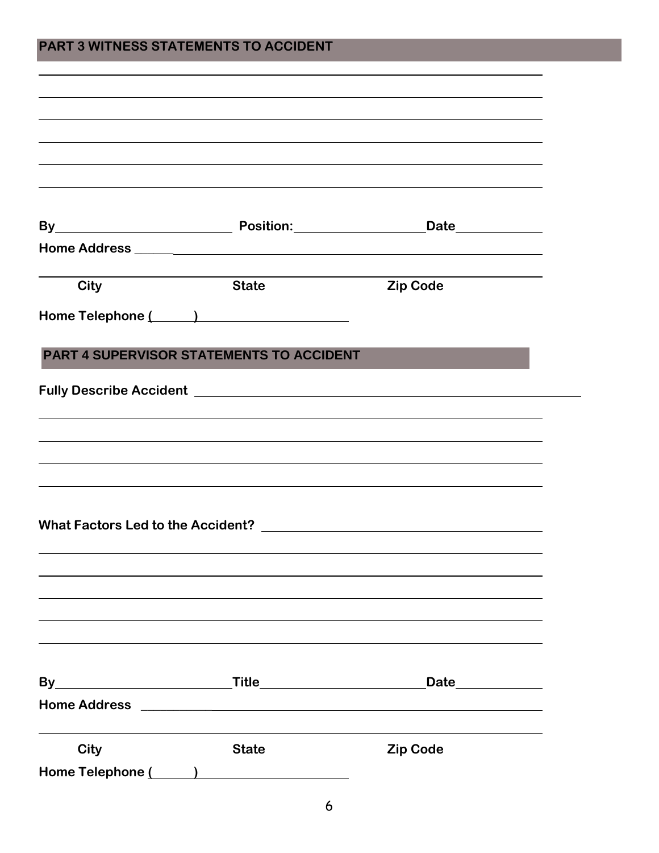| <b>City</b> | <b>State</b>                                    | <b>Zip Code</b> |  |
|-------------|-------------------------------------------------|-----------------|--|
|             | Home Telephone ( )                              |                 |  |
|             |                                                 |                 |  |
|             | <b>PART 4 SUPERVISOR STATEMENTS TO ACCIDENT</b> |                 |  |
|             |                                                 |                 |  |
|             |                                                 |                 |  |
|             |                                                 |                 |  |
|             |                                                 |                 |  |
|             |                                                 |                 |  |
|             |                                                 |                 |  |
|             |                                                 |                 |  |
|             |                                                 |                 |  |
|             |                                                 |                 |  |
|             |                                                 |                 |  |
|             |                                                 |                 |  |
|             |                                                 |                 |  |
|             |                                                 |                 |  |
|             |                                                 |                 |  |
|             |                                                 |                 |  |
| <b>City</b> | <b>State</b>                                    | <b>Zip Code</b> |  |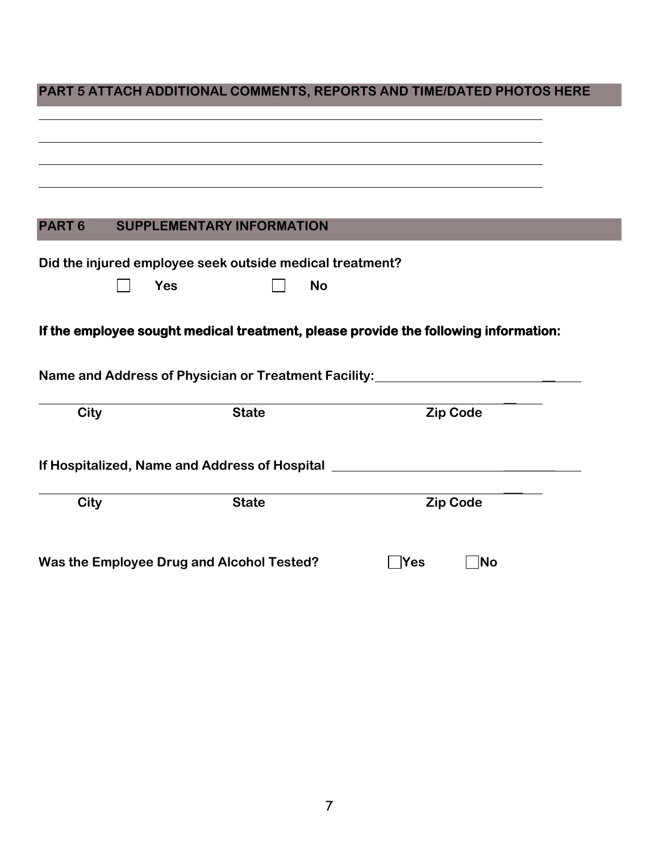# **PART 5 ATTACH ADDITIONAL COMMENTS, REPORTS AND TIME/DATED PHOTOS HERE**

| PART <sub>6</sub> | <b>SUPPLEMENTARY INFORMATION</b>                         |                                                                                                                                                                                                                                |
|-------------------|----------------------------------------------------------|--------------------------------------------------------------------------------------------------------------------------------------------------------------------------------------------------------------------------------|
|                   | Did the injured employee seek outside medical treatment? |                                                                                                                                                                                                                                |
|                   | <b>Yes</b><br><b>No</b>                                  |                                                                                                                                                                                                                                |
|                   |                                                          |                                                                                                                                                                                                                                |
|                   |                                                          | If the employee sought medical treatment, please provide the following information:<br>Name and Address of Physician or Treatment Facility: ___________________________                                                        |
| <b>City</b>       | <b>State</b>                                             | <b>Zip Code</b>                                                                                                                                                                                                                |
|                   |                                                          | If Hospitalized, Name and Address of Hospital [1982] [1983] [1983] [1983] [1983] [1983] [1983] [1983] [1983] [1983] [1983] [1983] [1983] [1983] [1983] [1983] [1983] [1983] [1983] [1983] [1983] [1983] [1983] [1983] [1983] [ |